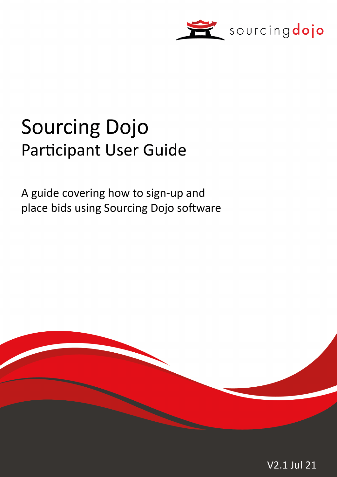

# **Sourcing Dojo** Participant User Guide

A guide covering how to sign-up and place bids using Sourcing Dojo software



V2.1 Jul 21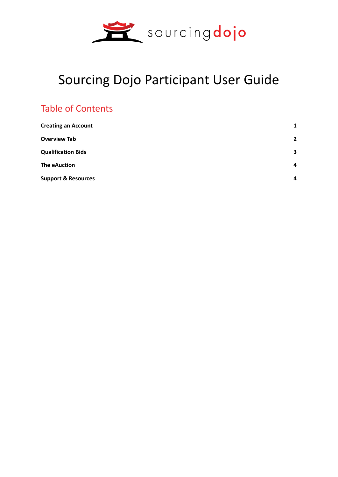

## Sourcing Dojo Participant User Guide

### Table of Contents

| <b>Creating an Account</b>     | 1                       |
|--------------------------------|-------------------------|
| <b>Overview Tab</b>            | $\overline{2}$          |
| <b>Qualification Bids</b>      | $\overline{\mathbf{3}}$ |
| <b>The eAuction</b>            | $\overline{\mathbf{4}}$ |
| <b>Support &amp; Resources</b> | 4                       |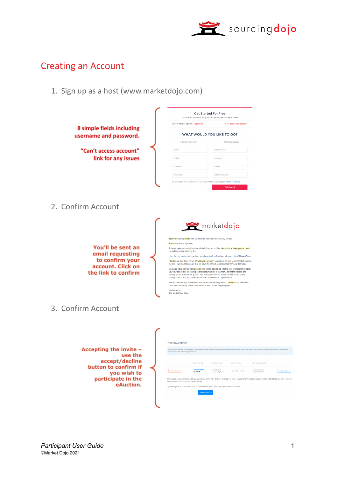

#### Creating an Account

1. Sign up as a host (www.marketdojo.com)

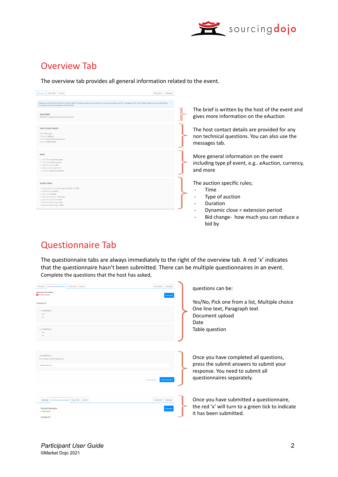

#### Overview Tab

The overview tab provides all general information related to the event.

| Qual. Bids<br>Auction<br>Overview                                                                                                                                                                                    | Documents Messages |  |         |        |
|----------------------------------------------------------------------------------------------------------------------------------------------------------------------------------------------------------------------|--------------------|--|---------|--------|
| Please work through the tabs from left to right. The last two tabs can be used for any documentation and for messaging. The Host contact details are provided below<br>In case you have any questions on this event. |                    |  |         |        |
|                                                                                                                                                                                                                      |                    |  | The bri |        |
| <b>Event Brief</b><br>The brief is written by the host of the event.                                                                                                                                                 |                    |  | gives n |        |
| Host Contact Details                                                                                                                                                                                                 |                    |  | The ho  |        |
| Name: MD Host1                                                                                                                                                                                                       |                    |  |         |        |
| Company: BigBuyer<br>E-mail: mdhost1@marketdojo.com                                                                                                                                                                  |                    |  |         | non te |
| Phone: 01236 256 256                                                                                                                                                                                                 |                    |  |         | messa  |
| Event                                                                                                                                                                                                                |                    |  |         |        |
| <sup>1</sup> Event Name: eAuction guide                                                                                                                                                                              |                    |  | More g  |        |
| C Event Type: Online Auction                                                                                                                                                                                         |                    |  | includi |        |
| <sup>1</sup> Default Currency: GBP<br>1 Multi Currency event?: No                                                                                                                                                    |                    |  |         |        |
| 1 Tied bids: Equal worst position                                                                                                                                                                                    |                    |  | and mo  |        |
|                                                                                                                                                                                                                      |                    |  |         |        |
| <b>Auction Rules</b>                                                                                                                                                                                                 |                    |  | The au  |        |
| Auction Start Time & Date: April 25, 2018 11:25 BST<br><sup>1</sup> Bid Direction: Reverse                                                                                                                           |                    |  |         |        |
| <b>C</b> Event type: Ranked                                                                                                                                                                                          |                    |  |         |        |
| 10 Minimum Duration: 10 minutes<br>1 Dynamic Close Period: N/A                                                                                                                                                       |                    |  |         |        |
| Minimum Bid Change: 0.5%                                                                                                                                                                                             |                    |  |         |        |
| Maximum Bid Change: 10.0%                                                                                                                                                                                            |                    |  |         |        |
|                                                                                                                                                                                                                      |                    |  |         |        |
|                                                                                                                                                                                                                      |                    |  |         | B      |
|                                                                                                                                                                                                                      |                    |  |         |        |

ief is written by the host of the event and gives more information on the eAuction

ost contact details are provided for any chnical questions. You can also use the ges tab.

general information on the event ing type pf event, e.g.. eAuction, currency, ore

Iction specific rules;

- ime
- vpe of auction
- uration
- ynamic close = extension period
- id change- how much you can reduce a bid by

#### Questionnaire Tab

The questionnaire tabs are always immediately to the right of the overview tab. A red 'x' indicates that the questionnaire hasn't been submitted. There can be multiple questionnaires in an event. Complete the questions that the host has asked,

| <b>x</b> Technical information<br><b>Oual Bids</b> Auction<br>Overview<br><b>Technical information</b><br>R Not Submitted<br>1) Section #1<br>1.1) weighting 1<br>Yes<br>No<br>1.2) weighting 2<br>Yes<br>No | Documents Messages              | questions can be:<br>Yes/No, Pick one from a list, Multiple choice<br>One line text, Paragraph text<br>Document upload<br>Date<br>Table question    |
|--------------------------------------------------------------------------------------------------------------------------------------------------------------------------------------------------------------|---------------------------------|-----------------------------------------------------------------------------------------------------------------------------------------------------|
| 1.4) weighting 4<br>Your answer (15/50 characters):<br>Market Dojo Ltd                                                                                                                                       | Submit answer:<br>Save progress | Once you have completed all questions,<br>press the submit answers to submit your<br>response. You need to submit all<br>questionnaires separately. |
| Oual, Bids Auction<br>✔ Technical information<br>Overview<br><b>Technical information</b><br><b>√</b> Submitted<br>1) Section #1                                                                             | Documents Messages              | Once you have submitted a questionnaire,<br>the red 'x' will turn to a green tick to indicate<br>it has been submitted.                             |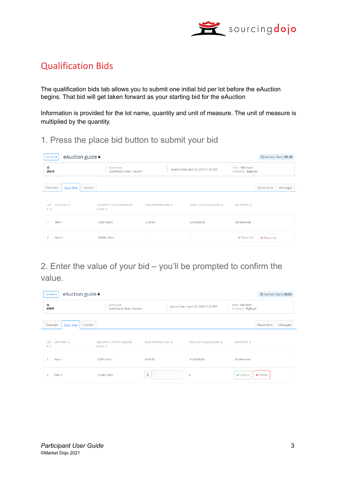

#### Qualification Bids

The qualification bids tab allows you to submit one initial bid per lot before the eAuction begins. That bid will get taken forward as your starting bid for the eAuction

Information is provided for the lot name, quantity and unit of measure. The unit of measure is multiplied by the quantity.

#### 1. Press the place bid button to submit your bid

| eAuction guide <sup>a</sup><br>Current $\star$ |                                                  |                      |                                         |                                     | <b>O</b> Auction Start: 05:28 |          |
|------------------------------------------------|--------------------------------------------------|----------------------|-----------------------------------------|-------------------------------------|-------------------------------|----------|
| ID<br>35079                                    | Event type<br>Qualification Bids + Auction       |                      | Auction Start: April 25, 2018 11:25 BST | Host: MD Host1<br>Company: BigBuyer |                               |          |
| Overview<br>Auction<br>Qual. Bids              |                                                  |                      |                                         |                                     | Documents                     | Messages |
| LOT NAME <sup>®</sup><br>LOT<br># ③            | QUANTITY X UNIT OF MEASURE<br>(UOM) <sup>O</sup> | YOUR PRICE PER UOM ® | TOTAL LOT VALUE PLACED @                | <b>BID STATUS ①</b>                 |                               |          |
| Item 1                                         | $1,000 \times$ Each                              | £100.00              | £100,000.00                             | <b>Bid Received</b>                 |                               |          |
| 2<br>Item 2                                    | 10,000 x Each                                    | $\sim$               | $\sim$                                  | ✔ Place Bid                         | <b>x</b> Reject Lot           |          |

2. Enter the value of your bid – you'll be prompted to confirm the value.

| eAuction guide <sup>■</sup><br>Current $\star$ |                                                    |                      |                                         |                                     |                 | <b>@Auction Start: 05:55</b> |
|------------------------------------------------|----------------------------------------------------|----------------------|-----------------------------------------|-------------------------------------|-----------------|------------------------------|
| ID<br>35079                                    | Event type<br>Qualification Bids + Auction         |                      | Auction Start: April 25, 2018 11:25 BST | Host: MD Host1<br>Company: BigBuyer |                 |                              |
| Overview<br>Qual. Bids<br>Auction              |                                                    |                      |                                         |                                     | Documents       | Messages                     |
| LOT NAME <sup>®</sup><br>LOT<br># <b>①</b>     | QUANTITY X UNIT OF MEASURE<br>(UOM) <sup>(D)</sup> | YOUR PRICE PER UOM @ | TOTAL LOT VALUE PLACED ①                | <b>BID STATUS ①</b>                 |                 |                              |
| Item 1                                         | $1,000 \times$ Each                                | £100.00              | £100,000.00                             | <b>Bid Received</b>                 |                 |                              |
| $\mathcal{D}$<br>Item 2                        | 10,000 x Each                                      | £                    | £                                       | ✔ Submit                            | <b>x</b> Cancel |                              |